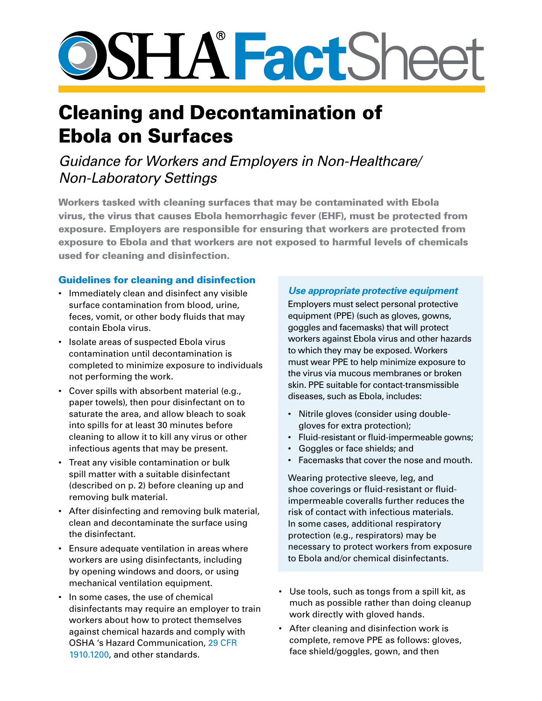# **SSHATactSheet**

## Cleaning and Decontamination of Ebola on Surfaces

### *Guidance for Workers and Employers in Non-Healthcare/ Non-Laboratory Settings*

Workers tasked with cleaning surfaces that may be contaminated with Ebola virus, the virus that causes Ebola hemorrhagic fever (EHF), must be protected from exposure. Employers are responsible for ensuring that workers are protected from exposure to Ebola and that workers are not exposed to harmful levels of chemicals used for cleaning and disinfection.

#### Guidelines for cleaning and disinfection

- • Immediately clean and disinfect any visible surface contamination from blood, urine, feces, vomit, or other body fluids that may contain Ebola virus.
- • Isolate areas of suspected Ebola virus contamination until decontamination is completed to minimize exposure to individuals not performing the work.
- • Cover spills with absorbent material (e.g., paper towels), then pour disinfectant on to saturate the area, and allow bleach to soak into spills for at least 30 minutes before cleaning to allow it to kill any virus or other infectious agents that may be present.
- Treat any visible contamination or bulk spill matter with a suitable disinfectant (described on p. 2) before cleaning up and removing bulk material.
- • After disinfecting and removing bulk material, clean and decontaminate the surface using the disinfectant.
- Ensure adequate ventilation in areas where workers are using disinfectants, including by opening windows and doors, or using mechanical ventilation equipment.
- In some cases, the use of chemical disinfectants may require an employer to train workers about how to protect themselves against chemical hazards and comply with OSHA 's Hazard Communication, 29 [CFR](https://www.osha.gov/pls/oshaweb/owadisp.show_document?p_table=STANDARDS&p_id=10099) [1910.1200](https://www.osha.gov/pls/oshaweb/owadisp.show_document?p_table=STANDARDS&p_id=10099), and other standards.

#### *Use appropriate protective equipment*

Employers must select personal protective equipment (PPE) (such as gloves, gowns, goggles and facemasks) that will protect workers against Ebola virus and other hazards to which they may be exposed. Workers must wear PPE to help minimize exposure to the virus via mucous membranes or broken skin. PPE suitable for contact-transmissible diseases, such as Ebola, includes:

- Nitrile gloves (consider using doublegloves for extra protection);
- • Fluid-resistant or fluid-impermeable gowns;
- • Goggles or face shields; and
- • Facemasks that cover the nose and mouth.

Wearing protective sleeve, leg, and shoe coverings or fluid-resistant or fluidimpermeable coveralls further reduces the risk of contact with infectious materials. In some cases, additional respiratory protection (e.g., respirators) may be necessary to protect workers from exposure to Ebola and/or chemical disinfectants.

- • Use tools, such as tongs from a spill kit, as much as possible rather than doing cleanup work directly with gloved hands.
- After cleaning and disinfection work is complete, remove PPE as follows: gloves, face shield/goggles, gown, and then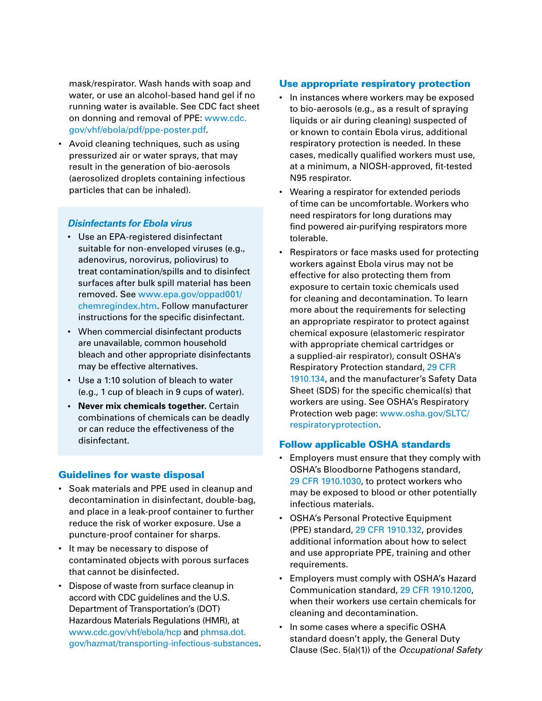mask/respirator. Wash hands with soap and water, or use an alcohol-based hand gel if no running water is available. See CDC fact sheet on donning and removal of PPE: [www.cdc.](http://www.cdc.gov/vhf/ebola/pdf/ppe-poster.pdf) [gov/vhf/ebola/pdf/ppe-poster.pdf](http://www.cdc.gov/vhf/ebola/pdf/ppe-poster.pdf).

• Avoid cleaning techniques, such as using pressurized air or water sprays, that may result in the generation of bio-aerosols (aerosolized droplets containing infectious particles that can be inhaled).

#### *Disinfectants for Ebola virus*

- • Use an EPA-registered disinfectant suitable for non-enveloped viruses (e.g., adenovirus, norovirus, poliovirus) to treat contamination/spills and to disinfect surfaces after bulk spill material has been removed. See [www.epa.gov/oppad001/](www.epa.gov/oppad001/chemregindex.htm) [chemregindex.htm](www.epa.gov/oppad001/chemregindex.htm). Follow manufacturer instructions for the specific disinfectant.
- • When commercial disinfectant products are unavailable, common household bleach and other appropriate disinfectants may be effective alternatives.
- • Use a 1:10 solution of bleach to water (e.g., 1 cup of bleach in 9 cups of water).
- **• Never mix chemicals together.** Certain combinations of chemicals can be deadly or can reduce the effectiveness of the disinfectant.

#### Guidelines for waste disposal

- • Soak materials and PPE used in cleanup and decontamination in disinfectant, double-bag, and place in a leak-proof container to further reduce the risk of worker exposure. Use a puncture-proof container for sharps.
- It may be necessary to dispose of contaminated objects with porous surfaces that cannot be disinfected.
- Dispose of waste from surface cleanup in accord with CDC guidelines and the U.S. Department of Transportation's (DOT) Hazardous Materials Regulations (HMR), at [www.cdc.gov/vhf/ebola/hcp](http://www.cdc.gov/vhf/ebola/hcp/index.html) and [phmsa.dot.](http://phmsa.dot.gov/hazmat/transporting-infectious-substances) [gov/hazmat/transporting-infectious-substances](http://phmsa.dot.gov/hazmat/transporting-infectious-substances).

#### Use appropriate respiratory protection

- In instances where workers may be exposed to bio-aerosols (e.g., as a result of spraying liquids or air during cleaning) suspected of or known to contain Ebola virus, additional respiratory protection is needed. In these cases, medically qualified workers must use, at a minimum, a NIOSH-approved, fit-tested N95 respirator.
- Wearing a respirator for extended periods of time can be uncomfortable. Workers who need respirators for long durations may find powered air-purifying respirators more tolerable.
- Respirators or face masks used for protecting workers against Ebola virus may not be effective for also protecting them from exposure to certain toxic chemicals used for cleaning and decontamination. To learn more about the requirements for selecting an appropriate respirator to protect against chemical exposure (elastomeric respirator with appropriate chemical cartridges or a supplied-air respirator), consult OSHA's Respiratory Protection standard, 29 [CFR](http://www.osha.gov/pls/oshaweb/owadisp.show_document?p_table=STANDARDS&p_id=12716) [1910.134,](http://www.osha.gov/pls/oshaweb/owadisp.show_document?p_table=STANDARDS&p_id=12716) and the manufacturer's Safety Data Sheet (SDS) for the specific chemical(s) that workers are using. See OSHA's Respiratory Protection web page: [www.osha.gov/SLTC/](http://www.osha.gov/SLTC/respiratoryprotection/index.html) [respiratoryprotection.](http://www.osha.gov/SLTC/respiratoryprotection/index.html)

#### Follow applicable OSHA standards

- • Employers must ensure that they comply with OSHA's Bloodborne Pathogens standard, 29 CFR [1910.1030,](http://www.osha.gov/pls/oshaweb/owadisp.show_document?p_table=STANDARDS&p_id=10051) to protect workers who may be exposed to blood or other potentially infectious materials.
- • OSHA's Personal Protective Equipment (PPE) standard, 29 CFR [1910.132](http://www.osha.gov/pls/oshaweb/owadisp.show_document?p_table=STANDARDS&p_id=9777), provides additional information about how to select and use appropriate PPE, training and other requirements.
- • Employers must comply with OSHA's Hazard Communication standard, 29 CFR [1910.1200,](http://www.osha.gov/pls/oshaweb/owadisp.show_document?p_table=STANDARDS&p_id=10099) when their workers use certain chemicals for cleaning and decontamination.
- In some cases where a specific OSHA standard doesn't apply, the General Duty Clause (Sec. 5(a)(1)) of the *Occupational Safety*